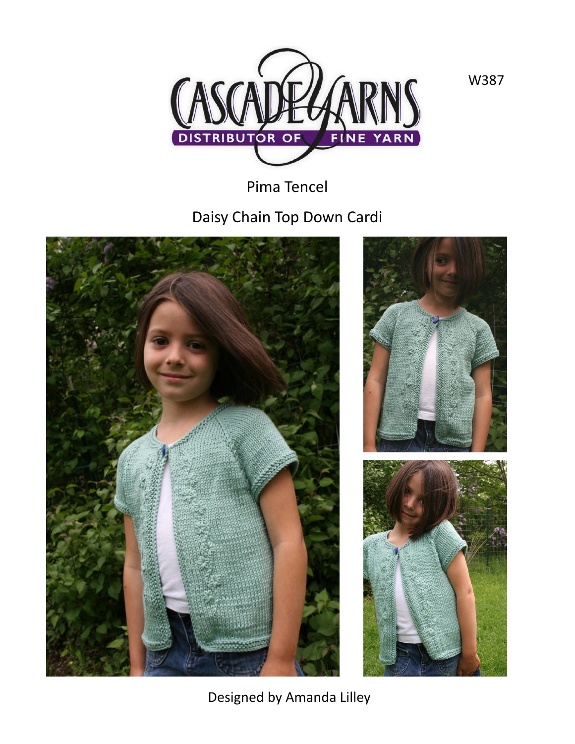

Pima Tencel

Daisy Chain Top Down Cardi







Designed by Amanda Lilley

W387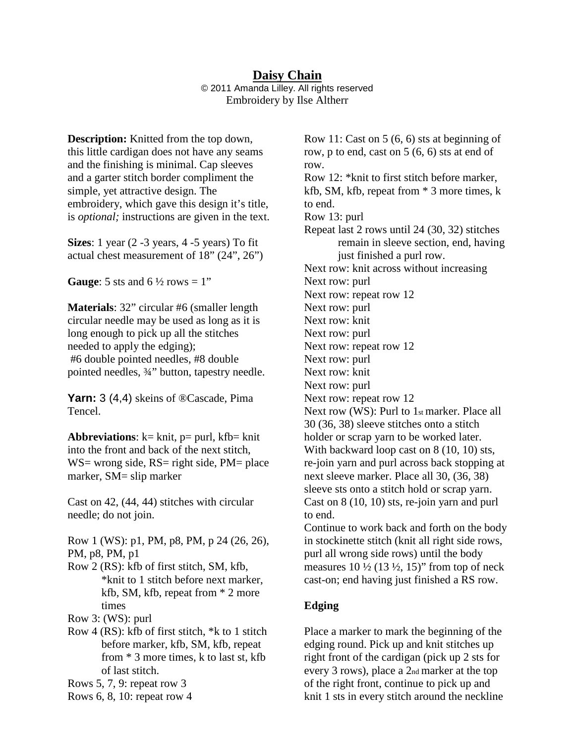#### **Daisy Chain** © 2011 Amanda Lilley. All rights reserved Embroidery by Ilse Altherr

**Description:** Knitted from the top down, this little cardigan does not have any seams and the finishing is minimal. Cap sleeves and a garter stitch border compliment the simple, yet attractive design. The embroidery, which gave this design it's title, is *optional;* instructions are given in the text.

**Sizes**: 1 year (2 -3 years, 4 -5 years) To fit actual chest measurement of 18" (24", 26")

**Gauge:** 5 sts and  $6\frac{1}{2}$  rows = 1"

**Materials**: 32" circular #6 (smaller length circular needle may be used as long as it is long enough to pick up all the stitches needed to apply the edging); #6 double pointed needles, #8 double pointed needles, ¾" button, tapestry needle.

**Yarn:** 3 (4,4) skeins of ®Cascade, Pima Tencel.

**Abbreviations**:  $k=$  knit,  $p=$  purl,  $kfb=$  knit into the front and back of the next stitch, WS= wrong side,  $RS$ = right side,  $PM$ = place marker, SM= slip marker

Cast on 42, (44, 44) stitches with circular needle; do not join.

Row 1 (WS): p1, PM, p8, PM, p 24 (26, 26), PM, p8, PM, p1

Row 2 (RS): kfb of first stitch, SM, kfb, \*knit to 1 stitch before next marker, kfb, SM, kfb, repeat from \* 2 more times

Row 3: (WS): purl

Row 4 (RS): kfb of first stitch, \*k to 1 stitch before marker, kfb, SM, kfb, repeat from \* 3 more times, k to last st, kfb of last stitch.

Rows 5, 7, 9: repeat row 3

Rows 6, 8, 10: repeat row 4

Row 11: Cast on 5 (6, 6) sts at beginning of row, p to end, cast on 5 (6, 6) sts at end of row. Row 12: \*knit to first stitch before marker, kfb, SM, kfb, repeat from \* 3 more times, k to end. Row 13: purl Repeat last 2 rows until 24 (30, 32) stitches remain in sleeve section, end, having just finished a purl row. Next row: knit across without increasing Next row: purl Next row: repeat row 12 Next row: purl Next row: knit Next row: purl Next row: repeat row 12 Next row: purl Next row: knit Next row: purl Next row: repeat row 12 Next row (WS): Purl to 1st marker. Place all 30 (36, 38) sleeve stitches onto a stitch holder or scrap yarn to be worked later. With backward loop cast on 8 (10, 10) sts, re-join yarn and purl across back stopping at next sleeve marker. Place all 30, (36, 38) sleeve sts onto a stitch hold or scrap yarn. Cast on 8 (10, 10) sts, re-join yarn and purl to end. Continue to work back and forth on the body in stockinette stitch (knit all right side rows,

purl all wrong side rows) until the body measures  $10 \frac{1}{2} (13 \frac{1}{2}, 15)$ " from top of neck cast-on; end having just finished a RS row.

#### **Edging**

Place a marker to mark the beginning of the edging round. Pick up and knit stitches up right front of the cardigan (pick up 2 sts for every 3 rows), place a 2nd marker at the top of the right front, continue to pick up and knit 1 sts in every stitch around the neckline